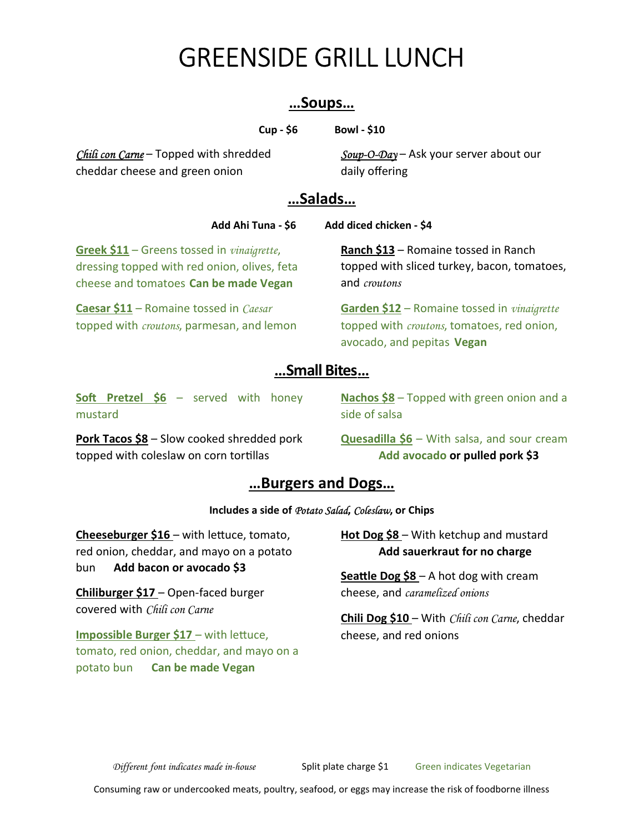# GREENSIDE GRILL LUNCH

#### …Soups…

Cup - \$6 Bowl - \$10

Chili con Carne – Topped with shredded cheddar cheese and green onion

 $Soup-O-Day - Ask your server about our$ daily offering

#### …Salads…

Add Ahi Tuna - \$6 Add diced chicken - \$4

Greek \$11 - Greens tossed in vinaigrette, dressing topped with red onion, olives, feta cheese and tomatoes Can be made Vegan

Caesar \$11 – Romaine tossed in Caesar topped with *croutons*, parmesan, and lemon Ranch \$13 – Romaine tossed in Ranch topped with sliced turkey, bacon, tomatoes, and croutons

Garden \$12 – Romaine tossed in *vinaigrette* topped with *croutons*, tomatoes, red onion, avocado, and pepitas Vegan

## … Small Bites …

Soft Pretzel  $$6 -$  served with honey mustard

Pork Tacos \$8 – Slow cooked shredded pork topped with coleslaw on corn tortillas

Nachos \$8 – Topped with green onion and a side of salsa

Quesadilla \$6 – With salsa, and sour cream Add avocado or pulled pork \$3

#### …Burgers and Dogs…

#### Includes a side of Potato Salad, Coleslaw, or Chips

**Cheeseburger \$16** – with lettuce, tomato, red onion, cheddar, and mayo on a potato bun Add bacon or avocado \$3

Chiliburger \$17 – Open-faced burger covered with Chili con Carne

**Impossible Burger \$17 – with lettuce,** tomato, red onion, cheddar, and mayo on a potato bun **Can be made Vegan** 

Hot Dog \$8 – With ketchup and mustard Add sauerkraut for no charge

**Seattle Dog \$8** – A hot dog with cream cheese, and caramelized onions

**Chili Dog \$10** – With *Chili con Carne*, cheddar cheese, and red onions

Different font indicates made in-house Split plate charge \$1 Green indicates Vegetarian

Consuming raw or undercooked meats, poultry, seafood, or eggs may increase the risk of foodborne illness